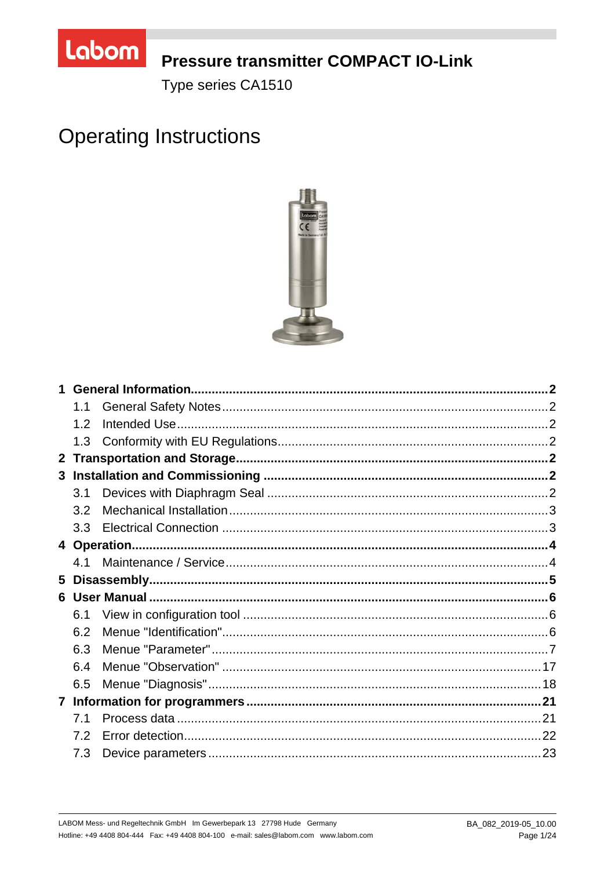

## **Pressure transmitter COMPACT IO-Link**

Type series CA1510

# **Operating Instructions**



|              | 1.1 |  |  |
|--------------|-----|--|--|
|              | 1.2 |  |  |
|              | 1.3 |  |  |
| $\mathbf{2}$ |     |  |  |
|              |     |  |  |
|              | 3.1 |  |  |
|              | 3.2 |  |  |
|              | 3.3 |  |  |
|              |     |  |  |
|              | 41  |  |  |
| 5            |     |  |  |
|              |     |  |  |
|              | 6.1 |  |  |
|              | 6.2 |  |  |
|              | 6.3 |  |  |
|              | 6.4 |  |  |
|              | 6.5 |  |  |
|              |     |  |  |
|              | 7.1 |  |  |
|              | 7.2 |  |  |
|              | 7.3 |  |  |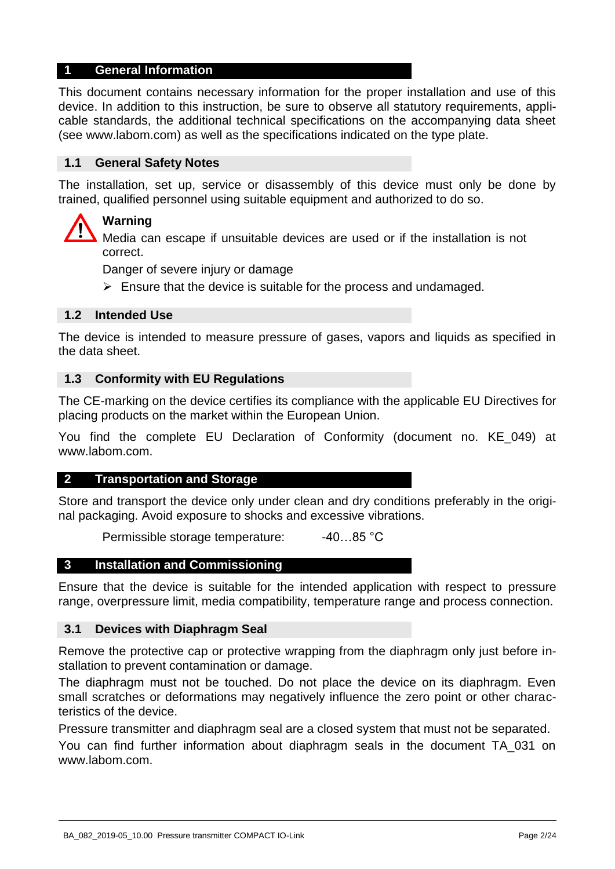#### **1 General Information**

This document contains necessary information for the proper installation and use of this device. In addition to this instruction, be sure to observe all statutory requirements, applicable standards, the additional technical specifications on the accompanying data sheet (see www.labom.com) as well as the specifications indicated on the type plate.

#### **1.1 General Safety Notes**

The installation, set up, service or disassembly of this device must only be done by trained, qualified personnel using suitable equipment and authorized to do so.

### **Warning**

Media can escape if unsuitable devices are used or if the installation is not correct.

Danger of severe injury or damage

 $\triangleright$  Ensure that the device is suitable for the process and undamaged.

#### **1.2 Intended Use**

The device is intended to measure pressure of gases, vapors and liquids as specified in the data sheet.

#### **1.3 Conformity with EU Regulations**

The CE-marking on the device certifies its compliance with the applicable EU Directives for placing products on the market within the European Union.

You find the complete EU Declaration of Conformity (document no. KE\_049) at www.labom.com.

#### **2 Transportation and Storage**

Store and transport the device only under clean and dry conditions preferably in the original packaging. Avoid exposure to shocks and excessive vibrations.

Permissible storage temperature: -40...85 °C

#### **3 Installation and Commissioning**

Ensure that the device is suitable for the intended application with respect to pressure range, overpressure limit, media compatibility, temperature range and process connection.

#### **3.1 Devices with Diaphragm Seal**

Remove the protective cap or protective wrapping from the diaphragm only just before installation to prevent contamination or damage.

The diaphragm must not be touched. Do not place the device on its diaphragm. Even small scratches or deformations may negatively influence the zero point or other characteristics of the device.

Pressure transmitter and diaphragm seal are a closed system that must not be separated.

You can find further information about diaphragm seals in the document TA\_031 on www.labom.com.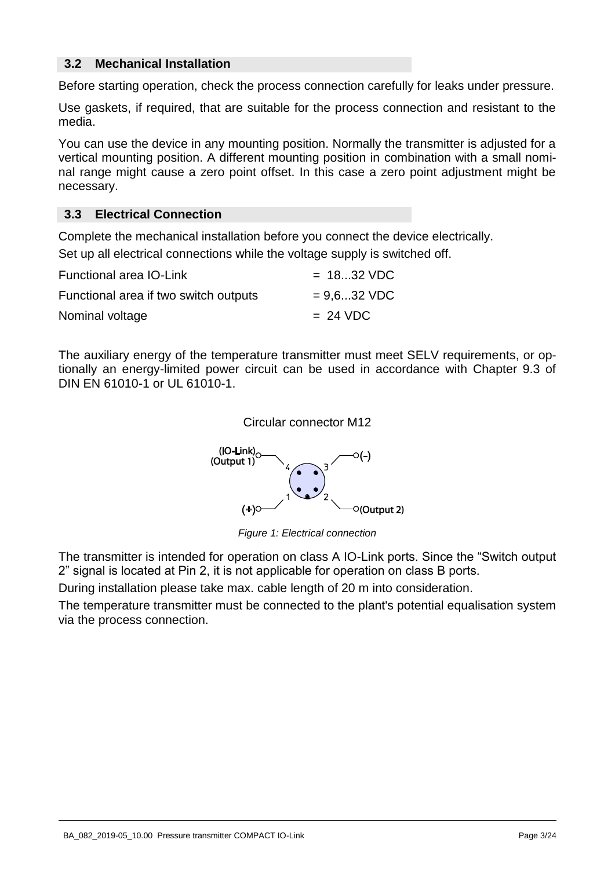#### **3.2 Mechanical Installation**

Before starting operation, check the process connection carefully for leaks under pressure.

Use gaskets, if required, that are suitable for the process connection and resistant to the media.

You can use the device in any mounting position. Normally the transmitter is adjusted for a vertical mounting position. A different mounting position in combination with a small nominal range might cause a zero point offset. In this case a zero point adjustment might be necessary.

#### **3.3 Electrical Connection**

Complete the mechanical installation before you connect the device electrically. Set up all electrical connections while the voltage supply is switched off.

| Functional area IO-Link               | $= 1832 \text{ VDC}$ |
|---------------------------------------|----------------------|
| Functional area if two switch outputs | $= 9.6$ 32 VDC       |
| Nominal voltage                       | $= 24 \text{ VDC}$   |

The auxiliary energy of the temperature transmitter must meet SELV requirements, or optionally an energy-limited power circuit can be used in accordance with Chapter 9.3 of DIN EN 61010-1 or UL 61010-1.





*Figure 1: Electrical connection* 

The transmitter is intended for operation on class A IO-Link ports. Since the "Switch output 2" signal is located at Pin 2, it is not applicable for operation on class B ports.

During installation please take max. cable length of 20 m into consideration.

The temperature transmitter must be connected to the plant's potential equalisation system via the process connection.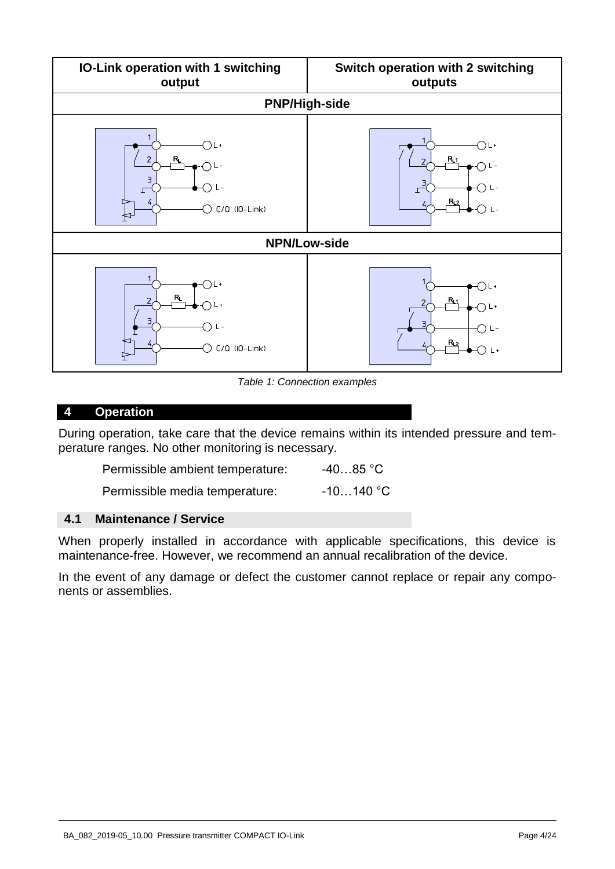

*Table 1: Connection examples* 

#### <span id="page-3-0"></span>**4 Operation**

During operation, take care that the device remains within its intended pressure and temperature ranges. No other monitoring is necessary.

| Permissible ambient temperature: | $-4085$ °C  |
|----------------------------------|-------------|
| Permissible media temperature:   | $-10140$ °C |

#### **4.1 Maintenance / Service**

When properly installed in accordance with applicable specifications, this device is maintenance-free. However, we recommend an annual recalibration of the device.

In the event of any damage or defect the customer cannot replace or repair any components or assemblies.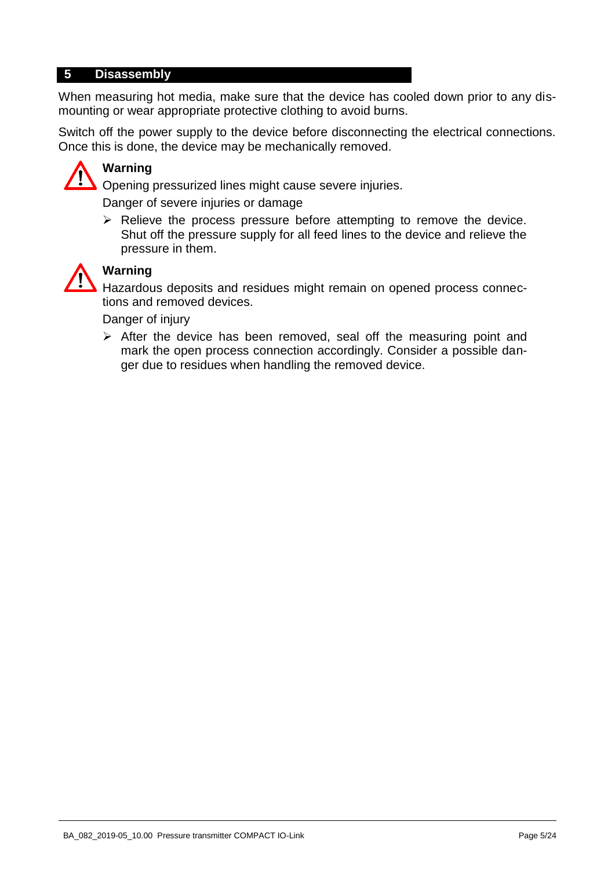#### **5 Disassembly**

When measuring hot media, make sure that the device has cooled down prior to any dismounting or wear appropriate protective clothing to avoid burns.

Switch off the power supply to the device before disconnecting the electrical connections. Once this is done, the device may be mechanically removed.



## **Warning**

Opening pressurized lines might cause severe injuries.

Danger of severe injuries or damage

 $\triangleright$  Relieve the process pressure before attempting to remove the device. Shut off the pressure supply for all feed lines to the device and relieve the pressure in them.



## **Warning**

Hazardous deposits and residues might remain on opened process connections and removed devices.

Danger of injury

 $\triangleright$  After the device has been removed, seal off the measuring point and mark the open process connection accordingly. Consider a possible danger due to residues when handling the removed device.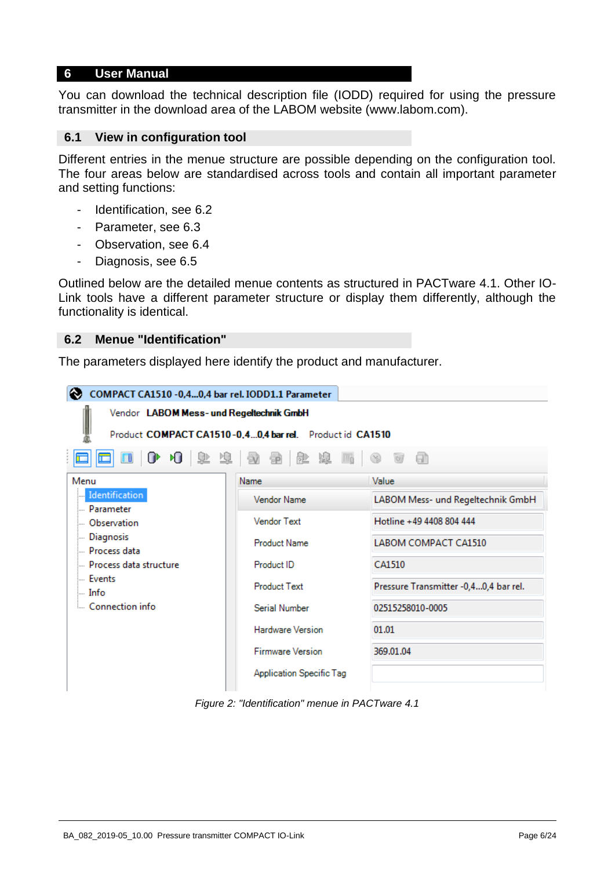#### **6 User Manual**

You can download the technical description file (IODD) required for using the pressure transmitter in the download area of the LABOM website (www.labom.com).

#### **6.1 View in configuration tool**

Different entries in the menue structure are possible depending on the configuration tool. The four areas below are standardised across tools and contain all important parameter and setting functions:

- Identification, see [6.2](#page-5-0)
- Parameter, see [6.3](#page-6-0)
- Observation, see [6.4](#page-16-0)
- Diagnosis, see [6.5](#page-17-0)

Outlined below are the detailed menue contents as structured in PACTware 4.1. Other IO-Link tools have a different parameter structure or display them differently, although the functionality is identical.

#### <span id="page-5-0"></span>**6.2 Menue "Identification"**

The parameters displayed here identify the product and manufacturer.



*Figure 2: "Identification" menue in PACTware 4.1*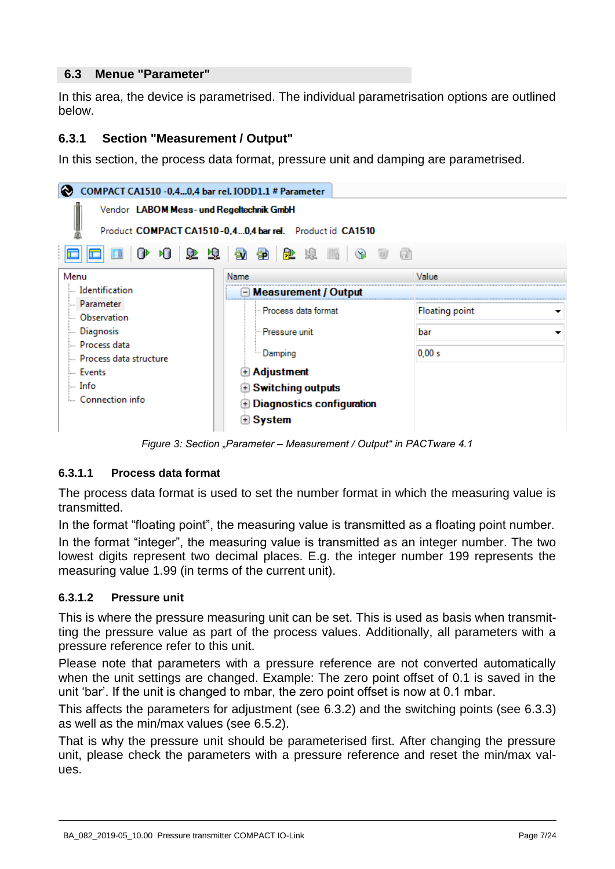#### <span id="page-6-0"></span>**6.3 Menue "Parameter"**

In this area, the device is parametrised. The individual parametrisation options are outlined below.

## **6.3.1 Section "Measurement / Output"**

In this section, the process data format, pressure unit and damping are parametrised.

| ⊛<br>COMPACT CA1510 -0,40,4 bar rel. IODD1.1 # Parameter |                                                          |                            |  |  |  |  |  |
|----------------------------------------------------------|----------------------------------------------------------|----------------------------|--|--|--|--|--|
| Vendor LABOM Mess- und Regeltechnik GmbH                 |                                                          |                            |  |  |  |  |  |
|                                                          | Product COMPACT CA1510-0.40.4 bar rel. Product id CA1510 |                            |  |  |  |  |  |
|                                                          | 00007099000000<br>- an                                   |                            |  |  |  |  |  |
| Menu                                                     | Name                                                     | Value                      |  |  |  |  |  |
| ldentification                                           | ⊡ Measurement / Output                                   |                            |  |  |  |  |  |
| <b>Parameter</b>                                         | lin Process data format                                  | <b>Floating point</b><br>▼ |  |  |  |  |  |
| <b>Observation</b>                                       |                                                          |                            |  |  |  |  |  |
| <b>Diagnosis</b>                                         | - Pressure unit                                          | bar<br>▼                   |  |  |  |  |  |
| Drocess data                                             | Damping                                                  | 0,00 s                     |  |  |  |  |  |
| Process data structure                                   |                                                          |                            |  |  |  |  |  |
| lille Events                                             | $\color{black}\textcolor{black}{\mathbf{+}}$ Adjustment  |                            |  |  |  |  |  |
| ⊨. Info                                                  | $\mathbf \oplus$ Switching outputs                       |                            |  |  |  |  |  |
| Connection info                                          | $\mathbf \oplus$ Diagnostics configuration               |                            |  |  |  |  |  |
|                                                          | <b>Bystem</b>                                            |                            |  |  |  |  |  |

*Figure 3: Section "Parameter – Measurement / Output" in PACTware 4.1*

#### <span id="page-6-2"></span>**6.3.1.1 Process data format**

The process data format is used to set the number format in which the measuring value is transmitted.

In the format "floating point", the measuring value is transmitted as a floating point number.

In the format "integer", the measuring value is transmitted as an integer number. The two lowest digits represent two decimal places. E.g. the integer number 199 represents the measuring value 1.99 (in terms of the current unit).

#### <span id="page-6-1"></span>**6.3.1.2 Pressure unit**

This is where the pressure measuring unit can be set. This is used as basis when transmitting the pressure value as part of the process values. Additionally, all parameters with a pressure reference refer to this unit.

Please note that parameters with a pressure reference are not converted automatically when the unit settings are changed. Example: The zero point offset of 0.1 is saved in the unit 'bar'. If the unit is changed to mbar, the zero point offset is now at 0.1 mbar.

This affects the parameters for adjustment (see [6.3.2\)](#page-8-0) and the switching points (see [6.3.3\)](#page-11-0) as well as the min/max values (see [6.5.2\)](#page-18-0).

That is why the pressure unit should be parameterised first. After changing the pressure unit, please check the parameters with a pressure reference and reset the min/max values.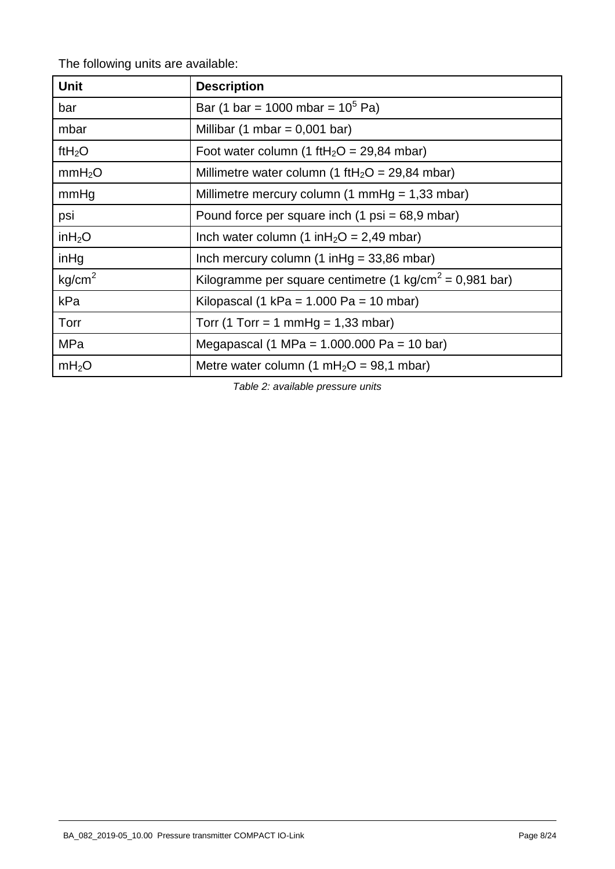The following units are available:

| <b>Unit</b>        | <b>Description</b>                                                  |
|--------------------|---------------------------------------------------------------------|
| bar                | Bar (1 bar = 1000 mbar = $10^5$ Pa)                                 |
| mbar               | Millibar (1 mbar = $0,001$ bar)                                     |
| ft $H_2O$          | Foot water column (1 ftH <sub>2</sub> O = 29,84 mbar)               |
| mmH <sub>2</sub> O | Millimetre water column (1 ftH <sub>2</sub> O = 29,84 mbar)         |
| mmHg               | Millimetre mercury column (1 mmHg = $1,33$ mbar)                    |
| psi                | Pound force per square inch $(1 \text{ psi} = 68.9 \text{ mbar})$   |
| inH <sub>2</sub> O | Inch water column (1 in $H_2O = 2,49$ mbar)                         |
| inHg               | Inch mercury column $(1 \in ] 49, 86 \in ] 100$                     |
| kg/cm <sup>2</sup> | Kilogramme per square centimetre (1 kg/cm <sup>2</sup> = 0,981 bar) |
| kPa                | Kilopascal (1 kPa = $1.000$ Pa = $10$ mbar)                         |
| Torr               | Torr (1 Torr = 1 mmHg = $1,33$ mbar)                                |
| MPa                | Megapascal (1 MPa = $1.000.000$ Pa = 10 bar)                        |
| mH <sub>2</sub> O  | Metre water column (1 mH <sub>2</sub> O = 98,1 mbar)                |

*Table 2: available pressure units*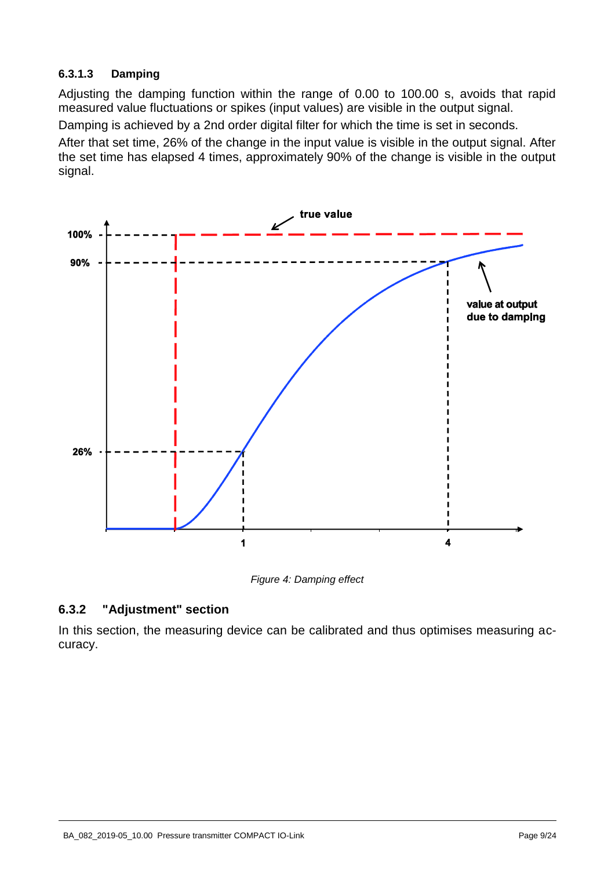#### <span id="page-8-1"></span>**6.3.1.3 Damping**

Adjusting the damping function within the range of 0.00 to 100.00 s, avoids that rapid measured value fluctuations or spikes (input values) are visible in the output signal.

Damping is achieved by a 2nd order digital filter for which the time is set in seconds.

After that set time, 26% of the change in the input value is visible in the output signal. After the set time has elapsed 4 times, approximately 90% of the change is visible in the output signal.



*Figure 4: Damping effect* 

## <span id="page-8-0"></span>**6.3.2 "Adjustment" section**

In this section, the measuring device can be calibrated and thus optimises measuring accuracy.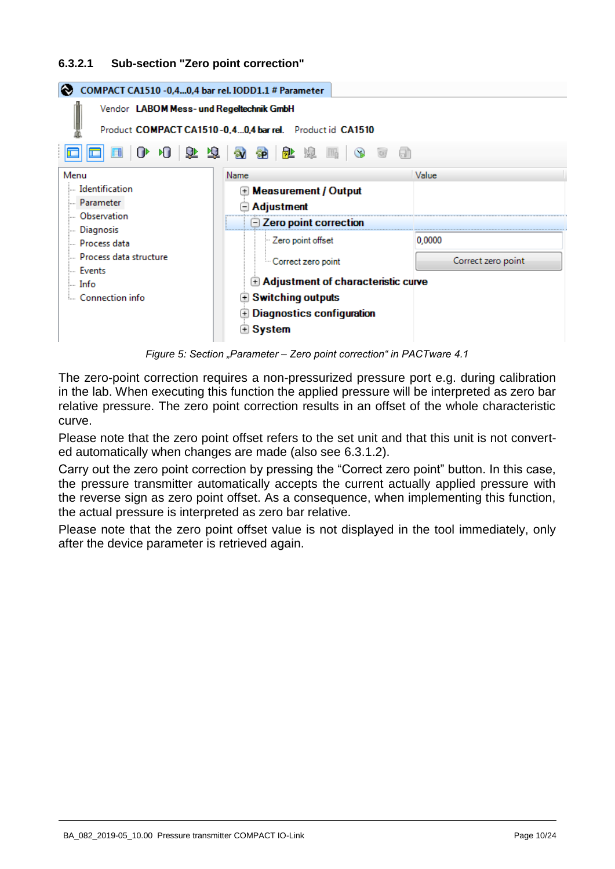#### <span id="page-9-0"></span>**6.3.2.1 Sub-section "Zero point correction"**

| COMPACT CA1510 - 0,4 0,4 bar rel. IODD1.1 # Parameter    |                                                     |                    |  |  |  |  |  |
|----------------------------------------------------------|-----------------------------------------------------|--------------------|--|--|--|--|--|
| Vendor LABOM Mess- und Regeltechnik GmbH                 |                                                     |                    |  |  |  |  |  |
| Product COMPACT CA1510-0.40.4 bar rel. Product id CA1510 |                                                     |                    |  |  |  |  |  |
| NJ<br>ሆ                                                  | 东方  砂糖  虾肉  皮肉 <br>- Gh                             |                    |  |  |  |  |  |
| Menu                                                     | Name                                                | Value              |  |  |  |  |  |
| Identification                                           | <b>E</b> Measurement / Output                       |                    |  |  |  |  |  |
| - Parameter                                              | <b>Adjustment</b>                                   |                    |  |  |  |  |  |
| Observation                                              |                                                     |                    |  |  |  |  |  |
| <b>Diagnosis</b>                                         | $\boxdot$ Zero point correction                     |                    |  |  |  |  |  |
| <b>Exercise</b> Process data                             | Zero point offset                                   | 0,0000             |  |  |  |  |  |
| Process data structure                                   | <sup>5</sup> Correct zero point                     | Correct zero point |  |  |  |  |  |
| llis Fvents<br>l… Info                                   | $\mathbf \oplus$ Adjustment of characteristic curve |                    |  |  |  |  |  |
| Connection info                                          | <b>Switching outputs</b><br>$+$                     |                    |  |  |  |  |  |
|                                                          | <b>Diagnostics configuration</b><br>$+$             |                    |  |  |  |  |  |
|                                                          | $\boxplus$ System                                   |                    |  |  |  |  |  |

*Figure 5: Section "Parameter – Zero point correction" in PACTware 4.1*

The zero-point correction requires a non-pressurized pressure port e.g. during calibration in the lab. When executing this function the applied pressure will be interpreted as zero bar relative pressure. The zero point correction results in an offset of the whole characteristic curve.

Please note that the zero point offset refers to the set unit and that this unit is not converted automatically when changes are made (also see [6.3.1.2\)](#page-6-1).

Carry out the zero point correction by pressing the "Correct zero point" button. In this case, the pressure transmitter automatically accepts the current actually applied pressure with the reverse sign as zero point offset. As a consequence, when implementing this function, the actual pressure is interpreted as zero bar relative.

Please note that the zero point offset value is not displayed in the tool immediately, only after the device parameter is retrieved again.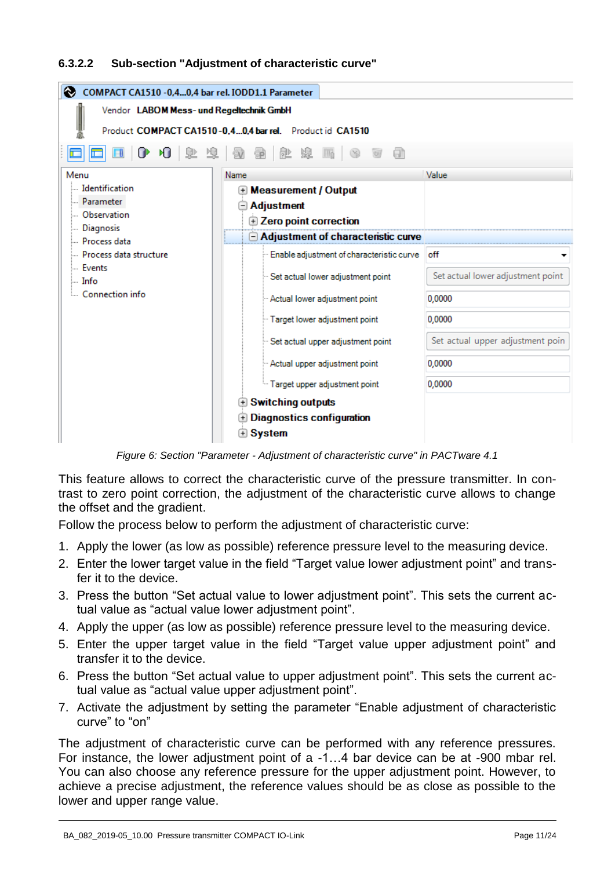#### <span id="page-10-0"></span>**6.3.2.2 Sub-section "Adjustment of characteristic curve"**

| ⊛<br>COMPACT CA1510 - 0,4 0,4 bar rel. IODD1.1 Parameter                                             |                                                                                       |                                   |  |  |  |  |  |  |  |
|------------------------------------------------------------------------------------------------------|---------------------------------------------------------------------------------------|-----------------------------------|--|--|--|--|--|--|--|
| Vendor LABOM Mess- und Regeltechnik GmbH<br>Product COMPACT CA1510-0,40,4 bar rel. Product id CA1510 |                                                                                       |                                   |  |  |  |  |  |  |  |
|                                                                                                      | 0 0 2 车车 2 2 2 2 2 2<br>a)                                                            |                                   |  |  |  |  |  |  |  |
| Menu                                                                                                 | Name                                                                                  | Value                             |  |  |  |  |  |  |  |
| Identification<br><b>Parameter</b><br><b>Observation</b><br><b>Diagnosis</b>                         | <b>E</b> Measurement / Output<br>$\bm{\ominus}$ Adjustment<br>E Zero point correction |                                   |  |  |  |  |  |  |  |
| - Process data                                                                                       | $\Box$ Adjustment of characteristic curve                                             |                                   |  |  |  |  |  |  |  |
| Process data structure<br><b>Events</b>                                                              | Enable adjustment of characteristic curve off                                         |                                   |  |  |  |  |  |  |  |
| $\ln$ Info                                                                                           | Set actual lower adjustment point                                                     | Set actual lower adjustment point |  |  |  |  |  |  |  |
| Connection info                                                                                      | Actual lower adjustment point                                                         | 0,0000                            |  |  |  |  |  |  |  |
|                                                                                                      | " Target lower adjustment point                                                       | 0.0000                            |  |  |  |  |  |  |  |
|                                                                                                      | Set actual upper adjustment point                                                     | Set actual upper adjustment poin  |  |  |  |  |  |  |  |
|                                                                                                      | Actual upper adjustment point                                                         | 0.0000                            |  |  |  |  |  |  |  |
|                                                                                                      | Target upper adjustment point                                                         | 0.0000                            |  |  |  |  |  |  |  |
|                                                                                                      | <b>E</b> Switching outputs                                                            |                                   |  |  |  |  |  |  |  |
|                                                                                                      |                                                                                       |                                   |  |  |  |  |  |  |  |
|                                                                                                      | $\oplus$ Diagnostics configuration                                                    |                                   |  |  |  |  |  |  |  |
|                                                                                                      | $\mathbf{\oplus }\mathbf{System}$                                                     |                                   |  |  |  |  |  |  |  |
|                                                                                                      |                                                                                       |                                   |  |  |  |  |  |  |  |

*Figure 6: Section "Parameter - Adjustment of characteristic curve" in PACTware 4.1* 

This feature allows to correct the characteristic curve of the pressure transmitter. In contrast to zero point correction, the adjustment of the characteristic curve allows to change the offset and the gradient.

Follow the process below to perform the adjustment of characteristic curve:

- 1. Apply the lower (as low as possible) reference pressure level to the measuring device.
- 2. Enter the lower target value in the field "Target value lower adjustment point" and transfer it to the device.
- 3. Press the button "Set actual value to lower adjustment point". This sets the current actual value as "actual value lower adjustment point".
- 4. Apply the upper (as low as possible) reference pressure level to the measuring device.
- 5. Enter the upper target value in the field "Target value upper adjustment point" and transfer it to the device.
- 6. Press the button "Set actual value to upper adjustment point". This sets the current actual value as "actual value upper adjustment point".
- 7. Activate the adjustment by setting the parameter "Enable adjustment of characteristic curve" to "on"

The adjustment of characteristic curve can be performed with any reference pressures. For instance, the lower adjustment point of a -1…4 bar device can be at -900 mbar rel. You can also choose any reference pressure for the upper adjustment point. However, to achieve a precise adjustment, the reference values should be as close as possible to the lower and upper range value.

BA\_082\_2019-05\_10.00 Pressure transmitter COMPACT IO-Link example that the comparation of the Page 11/24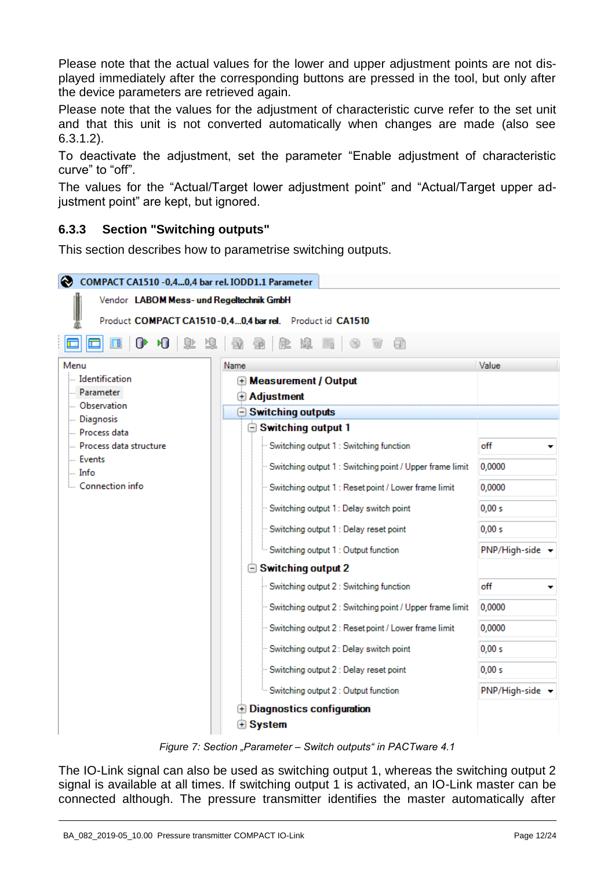Please note that the actual values for the lower and upper adjustment points are not displayed immediately after the corresponding buttons are pressed in the tool, but only after the device parameters are retrieved again.

Please note that the values for the adjustment of characteristic curve refer to the set unit and that this unit is not converted automatically when changes are made (also see [6.3.1.2\)](#page-6-1).

To deactivate the adjustment, set the parameter "Enable adjustment of characteristic curve" to "off".

The values for the "Actual/Target lower adjustment point" and "Actual/Target upper adjustment point" are kept, but ignored.

## <span id="page-11-0"></span>**6.3.3 Section "Switching outputs"**

This section describes how to parametrise switching outputs.

| COMPACT CA1510 -0,40,4 bar rel. IODD1.1 Parameter |                                                            |                             |  |  |  |  |  |  |
|---------------------------------------------------|------------------------------------------------------------|-----------------------------|--|--|--|--|--|--|
| Vendor LABOM Mess- und Regeltechnik GmbH          |                                                            |                             |  |  |  |  |  |  |
|                                                   | Product COMPACT CA1510-0.40.4 bar rel. Product id CA1510   |                             |  |  |  |  |  |  |
| 師 商<br>里 劲<br>ИJ<br>ሆ<br>9B.<br>Θħ<br>墅           |                                                            |                             |  |  |  |  |  |  |
| Menu                                              | Name                                                       | Value                       |  |  |  |  |  |  |
| <b>Identification</b>                             | <b>E</b> Measurement / Output                              |                             |  |  |  |  |  |  |
| Parameter<br>- Observation                        | <b>Adjustment</b>                                          |                             |  |  |  |  |  |  |
| Diagnosis                                         | $\ominus$ Switching outputs                                |                             |  |  |  |  |  |  |
| Process data                                      | <b>□ Switching output 1</b>                                |                             |  |  |  |  |  |  |
| - Process data structure                          | - Switching output 1 : Switching function                  | off                         |  |  |  |  |  |  |
| <b>Events</b><br>limfo                            | Switching output 1 : Switching point / Upper frame limit   | 0,0000                      |  |  |  |  |  |  |
| Connection info                                   | "Switching output 1 : Reset point / Lower frame limit      | 0,0000                      |  |  |  |  |  |  |
|                                                   | Switching output 1 : Delay switch point                    | 0,00 s                      |  |  |  |  |  |  |
|                                                   | Switching output 1 : Delay reset point                     | 0,00 s                      |  |  |  |  |  |  |
|                                                   | Switching output 1 : Output function                       | $PNP/High-side \rightarrow$ |  |  |  |  |  |  |
|                                                   | $\ominus$ Switching output 2                               |                             |  |  |  |  |  |  |
|                                                   | Switching output 2 : Switching function                    | off                         |  |  |  |  |  |  |
|                                                   | - Switching output 2 : Switching point / Upper frame limit | 0,0000                      |  |  |  |  |  |  |
|                                                   | Switching output 2 : Reset point / Lower frame limit       | 0,0000                      |  |  |  |  |  |  |
|                                                   | Switching output 2: Delay switch point                     | 0,00 s                      |  |  |  |  |  |  |
|                                                   | Switching output 2 : Delay reset point                     | 0.00 s                      |  |  |  |  |  |  |
|                                                   | Switching output 2 : Output function                       | PNP/High-side -             |  |  |  |  |  |  |
|                                                   | $\oplus$ Diagnostics configuration                         |                             |  |  |  |  |  |  |
|                                                   | $\widehat{\mathbf{\Theta}}$ System                         |                             |  |  |  |  |  |  |

*Figure 7: Section "Parameter – Switch outputs" in PACTware 4.1*

The IO-Link signal can also be used as switching output 1, whereas the switching output 2 signal is available at all times. If switching output 1 is activated, an IO-Link master can be connected although. The pressure transmitter identifies the master automatically after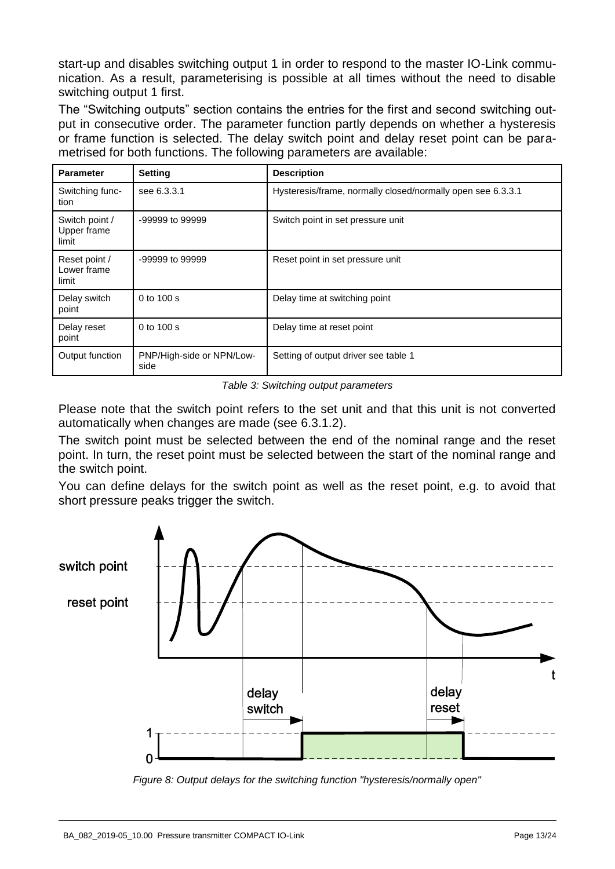start-up and disables switching output 1 in order to respond to the master IO-Link communication. As a result, parameterising is possible at all times without the need to disable switching output 1 first.

The "Switching outputs" section contains the entries for the first and second switching output in consecutive order. The parameter function partly depends on whether a hysteresis or frame function is selected. The delay switch point and delay reset point can be parametrised for both functions. The following parameters are available:

| <b>Parameter</b>                       | <b>Setting</b>                    | <b>Description</b>                                          |
|----------------------------------------|-----------------------------------|-------------------------------------------------------------|
| Switching func-<br>tion                | see 6.3.3.1                       | Hysteresis/frame, normally closed/normally open see 6.3.3.1 |
| Switch point /<br>Upper frame<br>limit | -99999 to 99999                   | Switch point in set pressure unit                           |
| Reset point /<br>Lower frame<br>limit  | -99999 to 99999                   | Reset point in set pressure unit                            |
| Delay switch<br>point                  | 0 to $100 s$                      | Delay time at switching point                               |
| Delay reset<br>point                   | 0 to $100 s$                      | Delay time at reset point                                   |
| Output function                        | PNP/High-side or NPN/Low-<br>side | Setting of output driver see table 1                        |

*Table 3: Switching output parameters* 

Please note that the switch point refers to the set unit and that this unit is not converted automatically when changes are made (see [6.3.1.2\)](#page-6-1).

The switch point must be selected between the end of the nominal range and the reset point. In turn, the reset point must be selected between the start of the nominal range and the switch point.

You can define delays for the switch point as well as the reset point, e.g. to avoid that short pressure peaks trigger the switch.



*Figure 8: Output delays for the switching function "hysteresis/normally open"*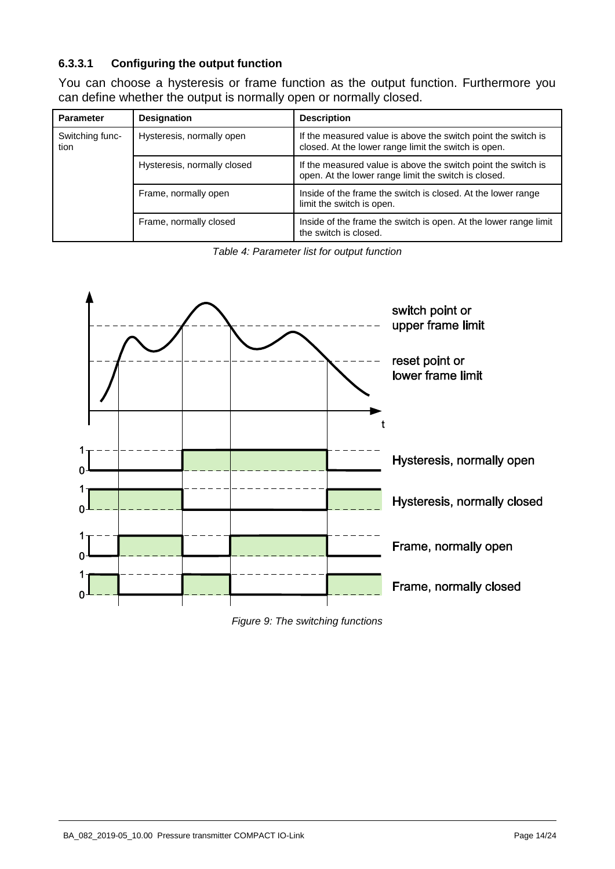### <span id="page-13-0"></span>**6.3.3.1 Configuring the output function**

You can choose a hysteresis or frame function as the output function. Furthermore you can define whether the output is normally open or normally closed.

| <b>Parameter</b>        | <b>Designation</b>          | <b>Description</b>                                                                                                    |
|-------------------------|-----------------------------|-----------------------------------------------------------------------------------------------------------------------|
| Switching func-<br>tion | Hysteresis, normally open   | If the measured value is above the switch point the switch is<br>closed. At the lower range limit the switch is open. |
|                         | Hysteresis, normally closed | If the measured value is above the switch point the switch is<br>open. At the lower range limit the switch is closed. |
|                         | Frame, normally open        | Inside of the frame the switch is closed. At the lower range<br>limit the switch is open.                             |
|                         | Frame, normally closed      | Inside of the frame the switch is open. At the lower range limit<br>the switch is closed.                             |

*Table 4: Parameter list for output function* 



*Figure 9: The switching functions*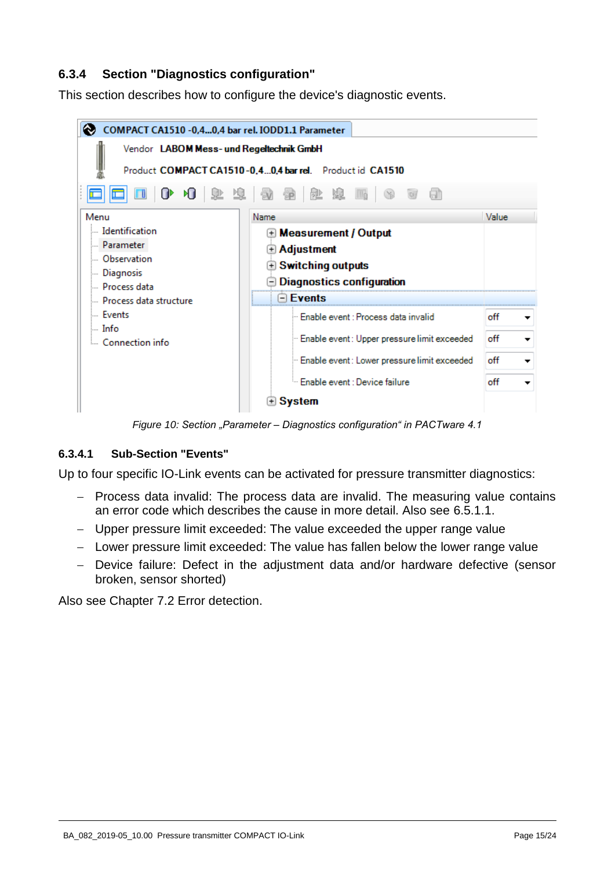## **6.3.4 Section "Diagnostics configuration"**

This section describes how to configure the device's diagnostic events.



*Figure 10: Section "Parameter – Diagnostics configuration" in PACTware 4.1*

#### <span id="page-14-0"></span>**6.3.4.1 Sub-Section "Events"**

Up to four specific IO-Link events can be activated for pressure transmitter diagnostics:

- Process data invalid: The process data are invalid. The measuring value contains an error code which describes the cause in more detail. Also see [6.5.1.1.](#page-18-1)
- Upper pressure limit exceeded: The value exceeded the upper range value
- Lower pressure limit exceeded: The value has fallen below the lower range value
- Device failure: Defect in the adjustment data and/or hardware defective (sensor broken, sensor shorted)

Also see Chapter [7.2](#page-21-0) Error detection.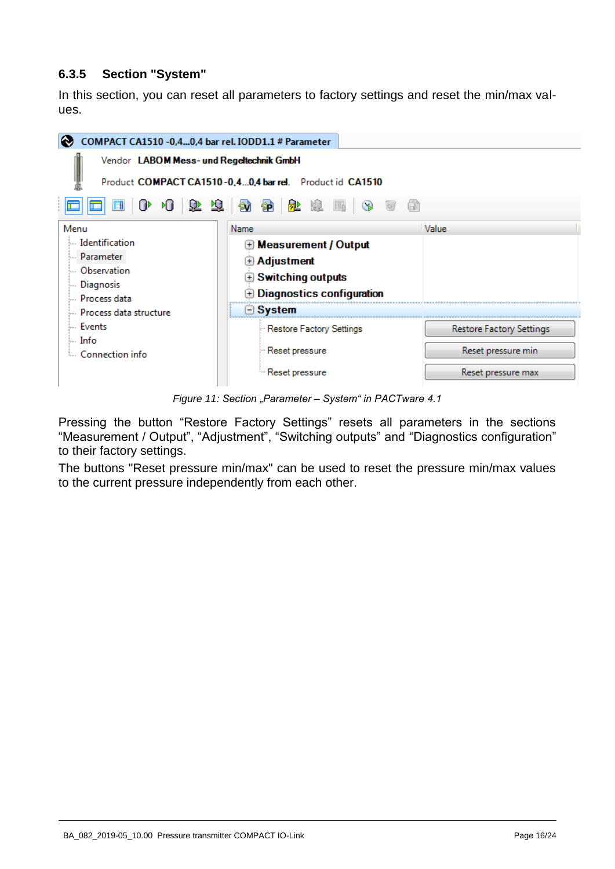### <span id="page-15-0"></span>**6.3.5 Section "System"**

In this section, you can reset all parameters to factory settings and reset the min/max values.



*Figure 11: Section "Parameter – System" in PACTware 4.1*

Pressing the button "Restore Factory Settings" resets all parameters in the sections "Measurement / Output", "Adjustment", "Switching outputs" and "Diagnostics configuration" to their factory settings.

The buttons "Reset pressure min/max" can be used to reset the pressure min/max values to the current pressure independently from each other.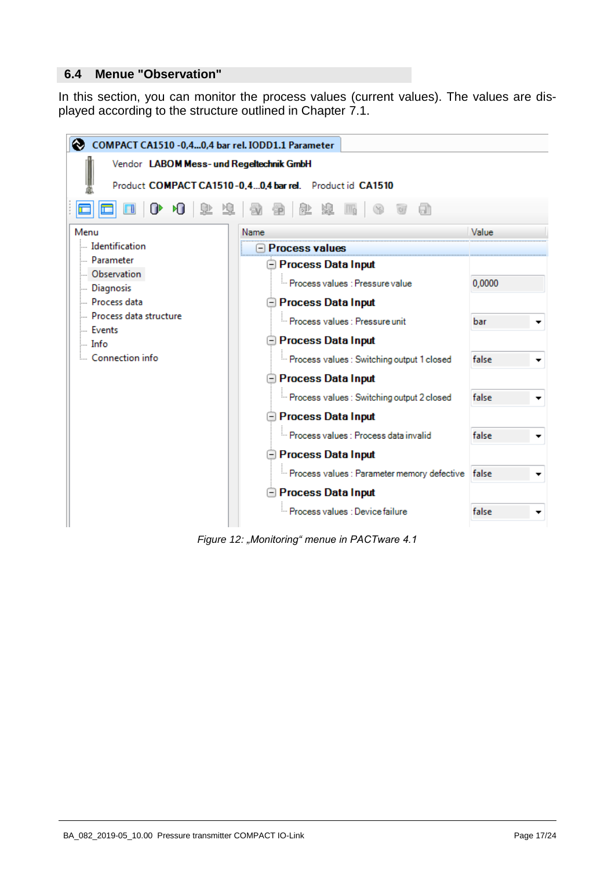#### <span id="page-16-0"></span>**6.4 Menue "Observation"**

In this section, you can monitor the process values (current values). The values are displayed according to the structure outlined in Chapter [7.1.](#page-20-0)



*Figure 12: "Monitoring" menue in PACTware 4.1*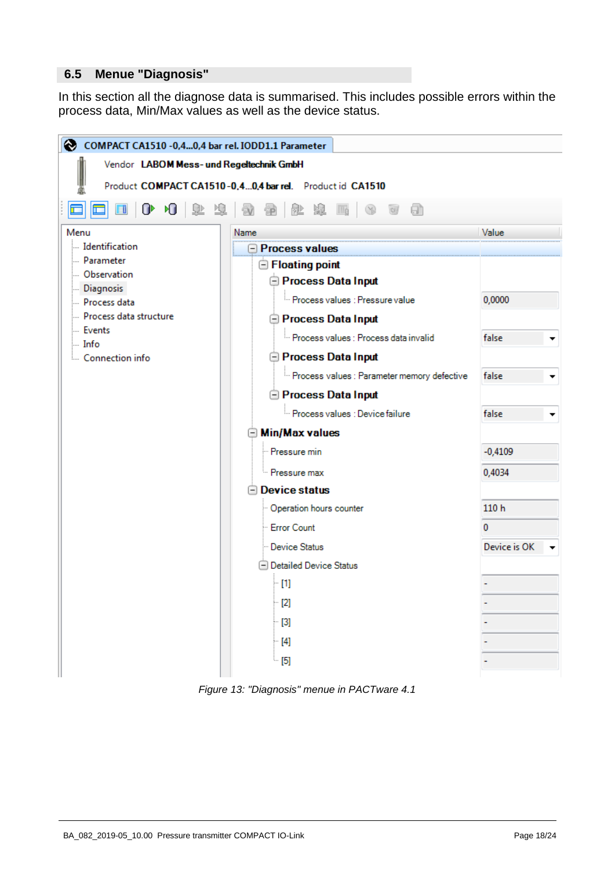#### <span id="page-17-0"></span>**6.5 Menue "Diagnosis"**

In this section all the diagnose data is summarised. This includes possible errors within the process data, Min/Max values as well as the device status.



*Figure 13: "Diagnosis" menue in PACTware 4.1*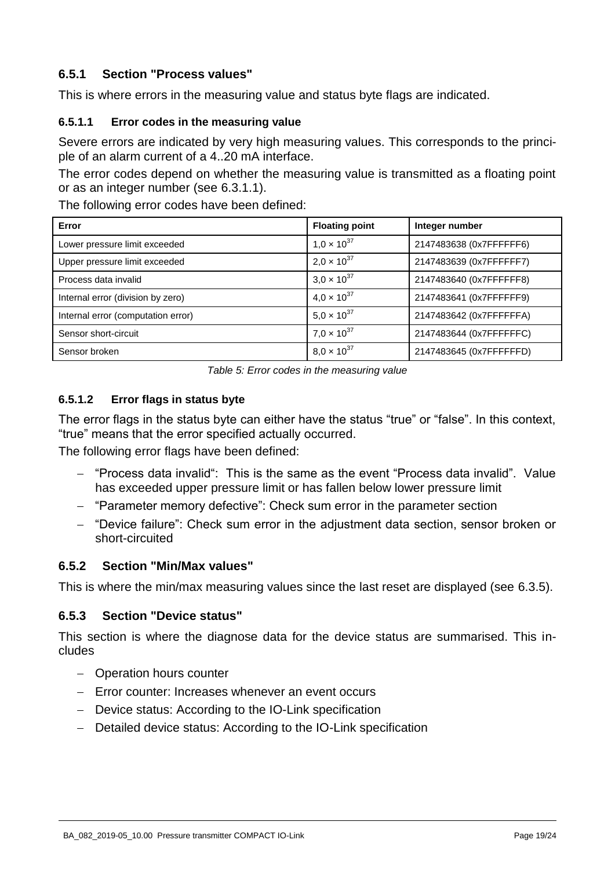## **6.5.1 Section "Process values"**

This is where errors in the measuring value and status byte flags are indicated.

#### <span id="page-18-1"></span>**6.5.1.1 Error codes in the measuring value**

Severe errors are indicated by very high measuring values. This corresponds to the principle of an alarm current of a 4..20 mA interface.

The error codes depend on whether the measuring value is transmitted as a floating point or as an integer number (see [6.3.1.1\)](#page-6-2).

The following error codes have been defined:

| Error                              | <b>Floating point</b> | Integer number          |  |
|------------------------------------|-----------------------|-------------------------|--|
| Lower pressure limit exceeded      | $1.0 \times 10^{37}$  | 2147483638 (0x7FFFFFF6) |  |
| Upper pressure limit exceeded      | $2.0 \times 10^{37}$  | 2147483639 (0x7FFFFFF7) |  |
| Process data invalid               | $3.0 \times 10^{37}$  | 2147483640 (0x7FFFFFF8) |  |
| Internal error (division by zero)  | $4.0 \times 10^{37}$  | 2147483641 (0x7FFFFFF9) |  |
| Internal error (computation error) | $5.0 \times 10^{37}$  | 2147483642 (0x7FFFFFFA) |  |
| Sensor short-circuit               | $7.0 \times 10^{37}$  | 2147483644 (0x7FFFFFFC) |  |
| Sensor broken                      | $8.0 \times 10^{37}$  | 2147483645 (0x7FFFFFFD) |  |

*Table 5: Error codes in the measuring value* 

### <span id="page-18-2"></span>**6.5.1.2 Error flags in status byte**

The error flags in the status byte can either have the status "true" or "false". In this context, "true" means that the error specified actually occurred.

The following error flags have been defined:

- "Process data invalid": This is the same as the event "Process data invalid". Value has exceeded upper pressure limit or has fallen below lower pressure limit
- "Parameter memory defective": Check sum error in the parameter section
- "Device failure": Check sum error in the adjustment data section, sensor broken or short-circuited

#### <span id="page-18-0"></span>**6.5.2 Section "Min/Max values"**

This is where the min/max measuring values since the last reset are displayed (see [6.3.5\)](#page-15-0).

#### **6.5.3 Section "Device status"**

This section is where the diagnose data for the device status are summarised. This includes

- Operation hours counter
- $-$  Error counter: Increases whenever an event occurs
- Device status: According to the IO-Link specification
- Detailed device status: According to the IO-Link specification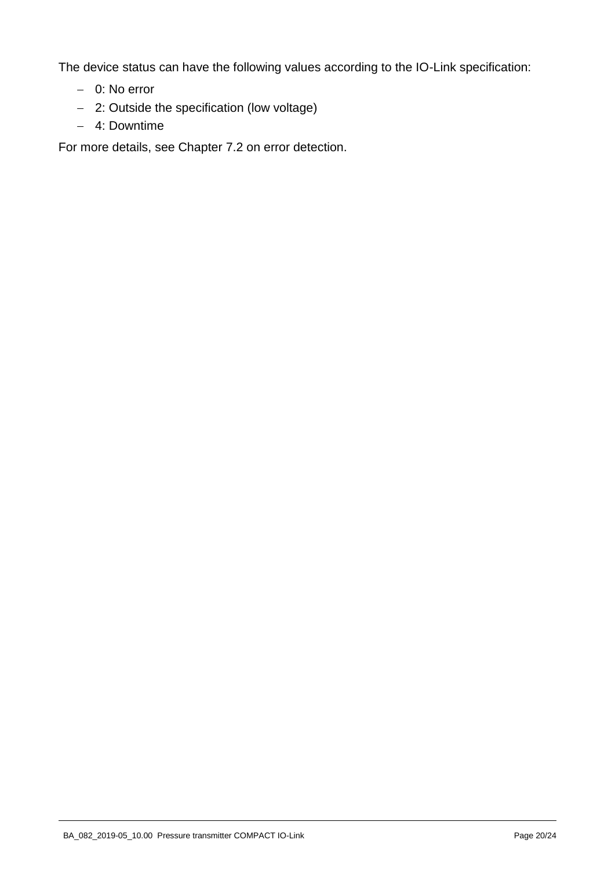The device status can have the following values according to the IO-Link specification:

- 0: No error
- 2: Outside the specification (low voltage)
- 4: Downtime

For more details, see Chapter [7.2](#page-21-0) on error detection.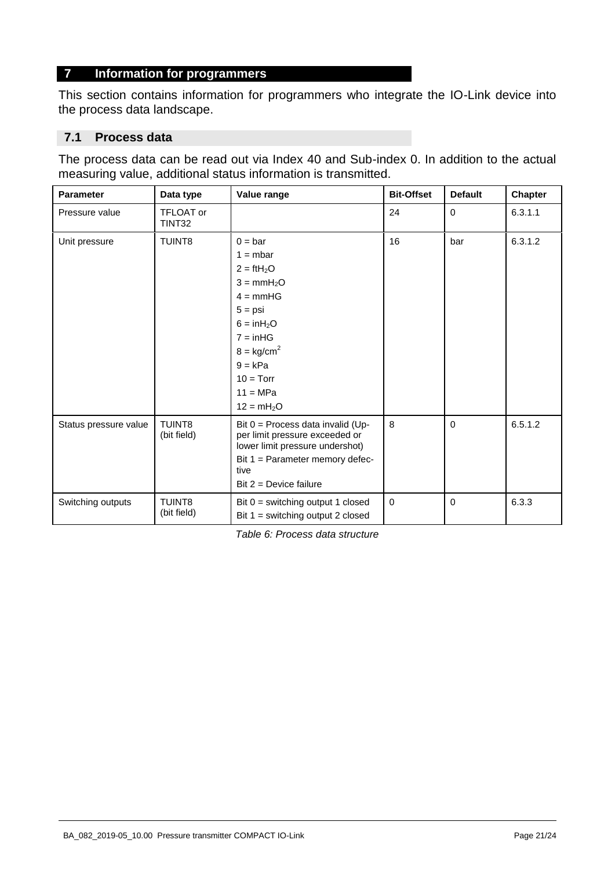#### **7 Information for programmers**

This section contains information for programmers who integrate the IO-Link device into the process data landscape.

#### <span id="page-20-0"></span>**7.1 Process data**

The process data can be read out via Index 40 and Sub-index 0. In addition to the actual measuring value, additional status information is transmitted.

| <b>Parameter</b>      | Data type                    | Value range                                                                                                                                                                                    | <b>Bit-Offset</b> | <b>Default</b> | <b>Chapter</b> |
|-----------------------|------------------------------|------------------------------------------------------------------------------------------------------------------------------------------------------------------------------------------------|-------------------|----------------|----------------|
| Pressure value        | <b>TFLOAT or</b><br>TINT32   |                                                                                                                                                                                                | 24                | $\Omega$       | 6.3.1.1        |
| Unit pressure         | <b>TUINT8</b>                | $0 = bar$<br>$1 = mbar$<br>$2 = ftH2O$<br>$3 = mmH2O$<br>$4 = mmHG$<br>$5 = psi$<br>$6 = inH2O$<br>$7 = inHG$<br>$8 = \text{kg/cm}^2$<br>$9 = kPa$<br>$10 = Torr$<br>$11 = MPa$<br>$12 = mH2O$ | 16                | bar            | 6.3.1.2        |
| Status pressure value | <b>TUINT8</b><br>(bit field) | Bit $0 =$ Process data invalid (Up-<br>per limit pressure exceeded or<br>lower limit pressure undershot)<br>Bit 1 = Parameter memory defec-<br>tive<br>Bit $2 =$ Device failure                | 8                 | $\Omega$       | 6.5.1.2        |
| Switching outputs     | <b>TUINT8</b><br>(bit field) | Bit $0 =$ switching output 1 closed<br>Bit $1 =$ switching output 2 closed                                                                                                                     | $\mathbf 0$       | $\mathbf{0}$   | 6.3.3          |

*Table 6: Process data structure*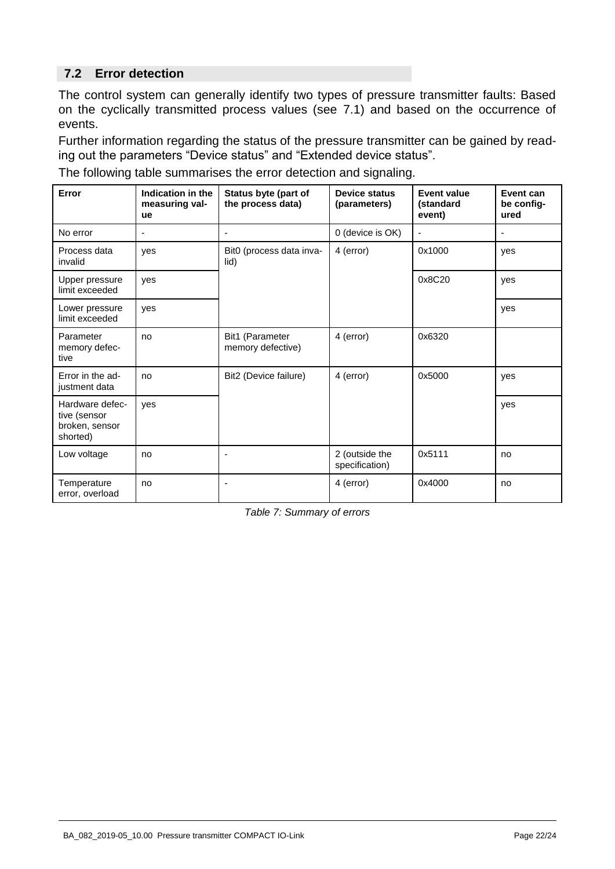## <span id="page-21-0"></span>**7.2 Error detection**

The control system can generally identify two types of pressure transmitter faults: Based on the cyclically transmitted process values (see [7.1\)](#page-20-0) and based on the occurrence of events.

Further information regarding the status of the pressure transmitter can be gained by reading out the parameters "Device status" and "Extended device status".

The following table summarises the error detection and signaling.

| Error                                                         | Indication in the<br>measuring val-<br>ue | Status byte (part of<br>the process data) | <b>Device status</b><br>(parameters) | <b>Event value</b><br>(standard<br>event) | Event can<br>be config-<br>ured |
|---------------------------------------------------------------|-------------------------------------------|-------------------------------------------|--------------------------------------|-------------------------------------------|---------------------------------|
| No error                                                      | ٠                                         | $\blacksquare$                            | 0 (device is OK)                     | $\blacksquare$                            | $\blacksquare$                  |
| Process data<br>invalid                                       | ves                                       | Bit0 (process data inva-<br>lid)          | 4 (error)                            | 0x1000                                    | yes                             |
| Upper pressure<br>limit exceeded                              | yes                                       |                                           |                                      | 0x8C20                                    | yes                             |
| Lower pressure<br>limit exceeded                              | ves                                       |                                           |                                      |                                           | yes                             |
| Parameter<br>memory defec-<br>tive                            | no                                        | Bit1 (Parameter<br>memory defective)      | 4 (error)                            | 0x6320                                    |                                 |
| Error in the ad-<br>justment data                             | no                                        | Bit2 (Device failure)                     | 4 (error)                            | 0x5000                                    | yes                             |
| Hardware defec-<br>tive (sensor<br>broken, sensor<br>shorted) | ves                                       |                                           |                                      |                                           | yes                             |
| Low voltage                                                   | no                                        | ٠                                         | 2 (outside the<br>specification)     | 0x5111                                    | no                              |
| Temperature<br>error, overload                                | no                                        | ٠                                         | 4 (error)                            | 0x4000                                    | no                              |

*Table 7: Summary of errors*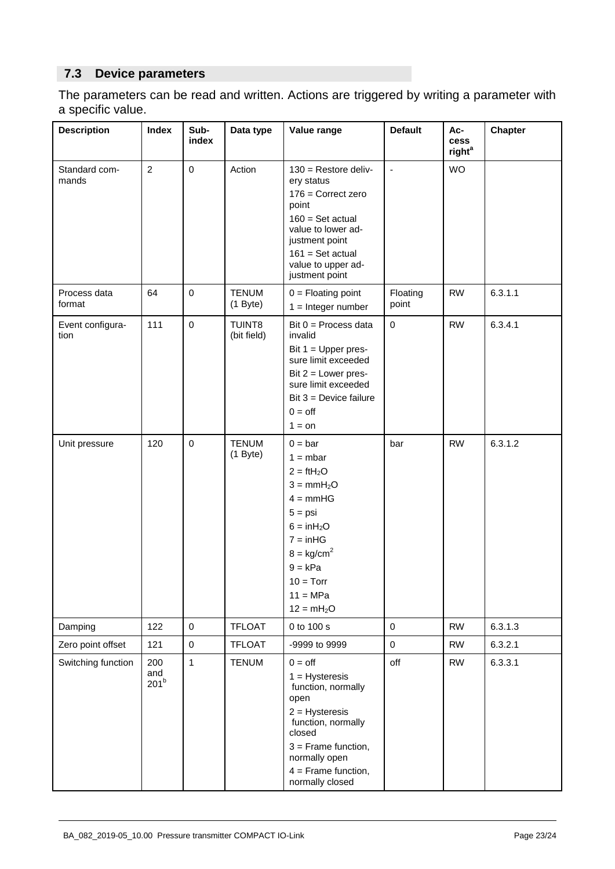## **7.3 Device parameters**

The parameters can be read and written. Actions are triggered by writing a parameter with a specific value.

| <b>Description</b>       | <b>Index</b>                   | Sub-<br>index | Data type                    | Value range                                                                                                                                                                                           | <b>Default</b>      | Ac-<br>cess<br>right <sup>a</sup> | <b>Chapter</b> |
|--------------------------|--------------------------------|---------------|------------------------------|-------------------------------------------------------------------------------------------------------------------------------------------------------------------------------------------------------|---------------------|-----------------------------------|----------------|
| Standard com-<br>mands   | $\overline{c}$                 | $\pmb{0}$     | Action                       | $130$ = Restore deliv-<br>ery status<br>$176$ = Correct zero<br>point<br>$160 = Set actual$<br>value to lower ad-<br>justment point<br>$161 = Set actual$<br>value to upper ad-<br>justment point     | $\blacksquare$      | <b>WO</b>                         |                |
| Process data<br>format   | 64                             | $\pmb{0}$     | <b>TENUM</b><br>$(1$ Byte)   | $0 =$ Floating point<br>$1 =$ Integer number                                                                                                                                                          | Floating<br>point   | <b>RW</b>                         | 6.3.1.1        |
| Event configura-<br>tion | 111                            | $\mathbf 0$   | <b>TUINT8</b><br>(bit field) | Bit $0 =$ Process data<br>invalid<br>Bit $1 = Upper pres-$<br>sure limit exceeded<br>Bit $2 =$ Lower pres-<br>sure limit exceeded<br>Bit $3 =$ Device failure<br>$0 =$ off<br>$1 = on$                | $\pmb{0}$           | <b>RW</b>                         | 6.3.4.1        |
| Unit pressure            | 120                            | $\mathbf 0$   | <b>TENUM</b><br>$(1$ Byte)   | $0 = bar$<br>$1 = mbar$<br>$2 = ftH2O$<br>$3 = mmH2O$<br>$4 = mmHG$<br>$5 = psi$<br>$6 = inH2O$<br>$7 = inHG$<br>$8 = \text{kg/cm}^2$<br>$9 = kPa$<br>$10 = Torr$<br>$11 = MPa$<br>$12 = mH2O$        | bar                 | <b>RW</b>                         | 6.3.1.2        |
| Damping                  | 122                            | $\mathbf 0$   | <b>TFLOAT</b>                | 0 to 100 s                                                                                                                                                                                            | $\mathsf{O}\xspace$ | <b>RW</b>                         | 6.3.1.3        |
| Zero point offset        | 121                            | $\mathbf 0$   | <b>TFLOAT</b>                | -9999 to 9999                                                                                                                                                                                         | $\mathsf{O}\xspace$ | <b>RW</b>                         | 6.3.2.1        |
| Switching function       | 200<br>and<br>201 <sup>b</sup> | $\mathbf{1}$  | <b>TENUM</b>                 | $0 =$ off<br>$1 = Hysteresis$<br>function, normally<br>open<br>$2 = Hysteresis$<br>function, normally<br>closed<br>$3 =$ Frame function,<br>normally open<br>$4 =$ Frame function,<br>normally closed | off                 | <b>RW</b>                         | 6.3.3.1        |